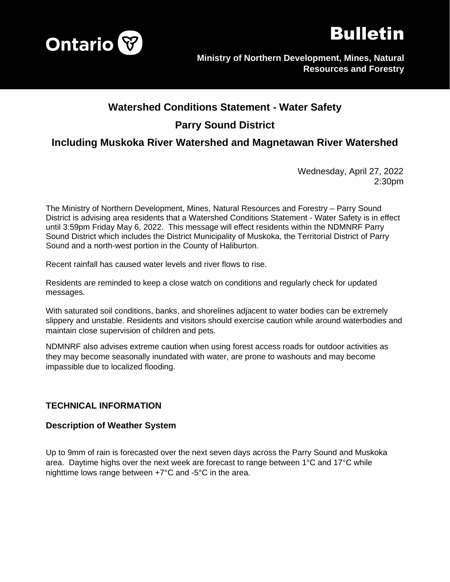



# **Watershed Conditions Statement - Water Safety Parry Sound District**

# **Including Muskoka River Watershed and Magnetawan River Watershed**

Wednesday, April 27, 2022 2:30pm

The Ministry of Northern Development, Mines, Natural Resources and Forestry – Parry Sound District is advising area residents that a Watershed Conditions Statement - Water Safety is in effect until 3:59pm Friday May 6, 2022. This message will effect residents within the NDMNRF Parry Sound District which includes the District Municipality of Muskoka, the Territorial District of Parry Sound and a north-west portion in the County of Haliburton.

Recent rainfall has caused water levels and river flows to rise.

Residents are reminded to keep a close watch on conditions and regularly check for updated messages.

With saturated soil conditions, banks, and shorelines adjacent to water bodies can be extremely slippery and unstable. Residents and visitors should exercise caution while around waterbodies and maintain close supervision of children and pets.

NDMNRF also advises extreme caution when using forest access roads for outdoor activities as they may become seasonally inundated with water, are prone to washouts and may become impassible due to localized flooding.

## **TECHNICAL INFORMATION**

#### **Description of Weather System**

Up to 9mm of rain is forecasted over the next seven days across the Parry Sound and Muskoka area. Daytime highs over the next week are forecast to range between 1°C and 17°C while nighttime lows range between +7°C and -5°C in the area.